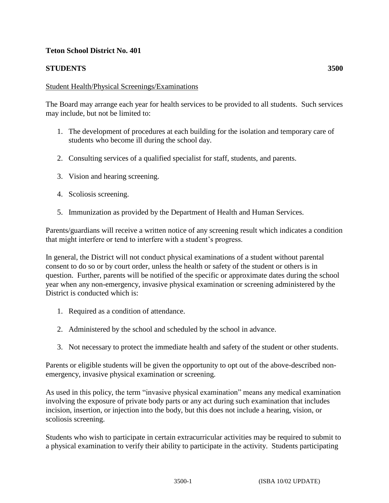## **Teton School District No. 401**

## **STUDENTS 3500**

## Student Health/Physical Screenings/Examinations

The Board may arrange each year for health services to be provided to all students. Such services may include, but not be limited to:

- 1. The development of procedures at each building for the isolation and temporary care of students who become ill during the school day.
- 2. Consulting services of a qualified specialist for staff, students, and parents.
- 3. Vision and hearing screening.
- 4. Scoliosis screening.
- 5. Immunization as provided by the Department of Health and Human Services.

Parents/guardians will receive a written notice of any screening result which indicates a condition that might interfere or tend to interfere with a student's progress.

In general, the District will not conduct physical examinations of a student without parental consent to do so or by court order, unless the health or safety of the student or others is in question. Further, parents will be notified of the specific or approximate dates during the school year when any non-emergency, invasive physical examination or screening administered by the District is conducted which is:

- 1. Required as a condition of attendance.
- 2. Administered by the school and scheduled by the school in advance.
- 3. Not necessary to protect the immediate health and safety of the student or other students.

Parents or eligible students will be given the opportunity to opt out of the above-described nonemergency, invasive physical examination or screening.

As used in this policy, the term "invasive physical examination" means any medical examination involving the exposure of private body parts or any act during such examination that includes incision, insertion, or injection into the body, but this does not include a hearing, vision, or scoliosis screening.

Students who wish to participate in certain extracurricular activities may be required to submit to a physical examination to verify their ability to participate in the activity. Students participating